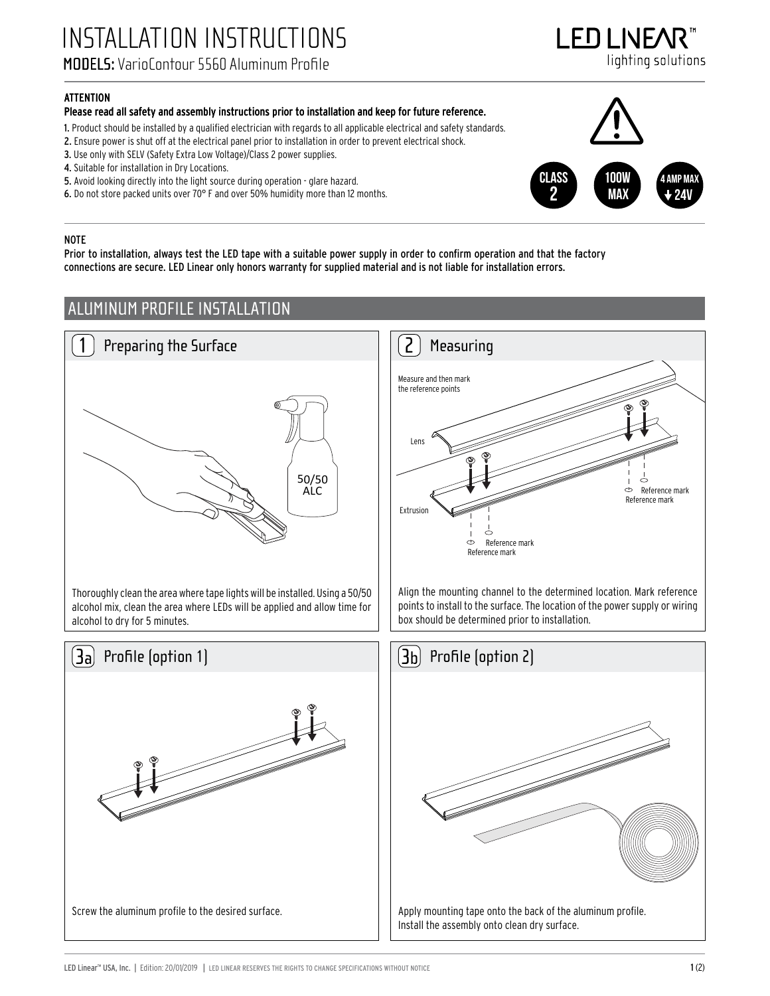INSTALLATION INSTRUCTIONS MODELS: VarioContour 5560 Aluminum Profile

I FNI INFA lighting solutions

#### ATTENTION

#### Please read all safety and assembly instructions prior to installation and keep for future reference.

1. Product should be installed by a qualified electrician with regards to all applicable electrical and safety standards.

- 2. Ensure power is shut off at the electrical panel prior to installation in order to prevent electrical shock.
- 3. Use only with SELV (Safety Extra Low Voltage)/Class 2 power supplies.
- 4. Suitable for installation in Dry Locations.
- 5. Avoid looking directly into the light source during operation glare hazard.
- 6. Do not store packed units over 70° F and over 50% humidity more than 12 months.

#### CLASs 2 100W MA) 4 amp max 24V

#### NOTE

Prior to installation, always test the LED tape with a suitable power supply in order to confirm operation and that the factory connections are secure. LED Linear only honors warranty for supplied material and is not liable for installation errors.

## ALUMINUM PROFILE INSTALLATION



Screw the aluminum profile to the desired surface.



Align the mounting channel to the determined location. Mark reference points to install to the surface. The location of the power supply or wiring box should be determined prior to installation.